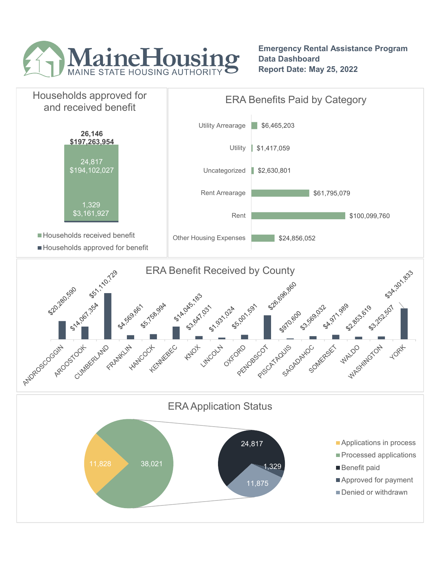

Emergency Rental Assistance Program Data Dashboard Report Date: May 25, 2022